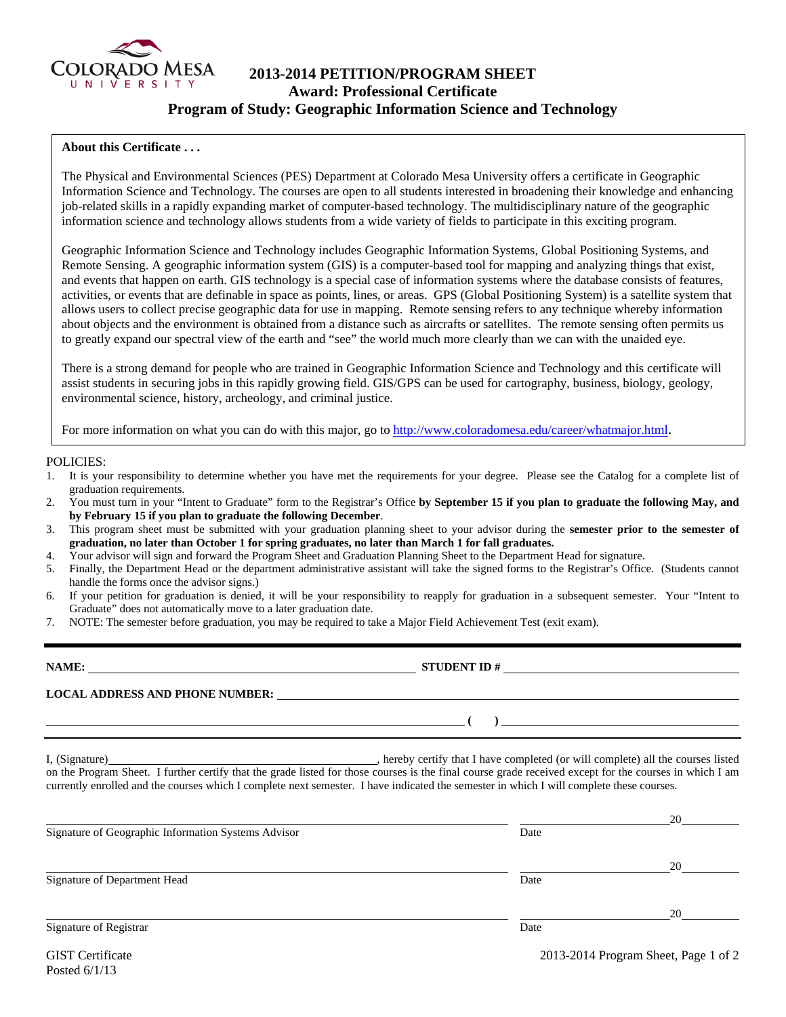

# **2013-2014 PETITION/PROGRAM SHEET Award: Professional Certificate Program of Study: Geographic Information Science and Technology**

## **About this Certificate . . .**

The Physical and Environmental Sciences (PES) Department at Colorado Mesa University offers a certificate in Geographic Information Science and Technology. The courses are open to all students interested in broadening their knowledge and enhancing job-related skills in a rapidly expanding market of computer-based technology. The multidisciplinary nature of the geographic information science and technology allows students from a wide variety of fields to participate in this exciting program.

Geographic Information Science and Technology includes Geographic Information Systems, Global Positioning Systems, and Remote Sensing. A geographic information system (GIS) is a computer-based tool for mapping and analyzing things that exist, and events that happen on earth. GIS technology is a special case of information systems where the database consists of features, activities, or events that are definable in space as points, lines, or areas. GPS (Global Positioning System) is a satellite system that allows users to collect precise geographic data for use in mapping. Remote sensing refers to any technique whereby information about objects and the environment is obtained from a distance such as aircrafts or satellites. The remote sensing often permits us to greatly expand our spectral view of the earth and "see" the world much more clearly than we can with the unaided eye.

There is a strong demand for people who are trained in Geographic Information Science and Technology and this certificate will assist students in securing jobs in this rapidly growing field. GIS/GPS can be used for cartography, business, biology, geology, environmental science, history, archeology, and criminal justice.

For more information on what you can do with this major, go to http://www.coloradomesa.edu/career/whatmajor.html.

### POLICIES:

- 1. It is your responsibility to determine whether you have met the requirements for your degree. Please see the Catalog for a complete list of graduation requirements.
- 2. You must turn in your "Intent to Graduate" form to the Registrar's Office **by September 15 if you plan to graduate the following May, and by February 15 if you plan to graduate the following December**.
- 3. This program sheet must be submitted with your graduation planning sheet to your advisor during the **semester prior to the semester of graduation, no later than October 1 for spring graduates, no later than March 1 for fall graduates.**
- 4. Your advisor will sign and forward the Program Sheet and Graduation Planning Sheet to the Department Head for signature.
- 5. Finally, the Department Head or the department administrative assistant will take the signed forms to the Registrar's Office. (Students cannot handle the forms once the advisor signs.)
- 6. If your petition for graduation is denied, it will be your responsibility to reapply for graduation in a subsequent semester. Your "Intent to Graduate" does not automatically move to a later graduation date.
- 7. NOTE: The semester before graduation, you may be required to take a Major Field Achievement Test (exit exam).

**NAME: STUDENT ID # LOCAL ADDRESS AND PHONE NUMBER: ( )** 

I, (Signature) , hereby certify that I have completed (or will complete) all the courses listed on the Program Sheet. I further certify that the grade listed for those courses is the final course grade received except for the courses in which I am currently enrolled and the courses which I complete next semester. I have indicated the semester in which I will complete these courses.

|                                                     |      | 20 |
|-----------------------------------------------------|------|----|
| Signature of Geographic Information Systems Advisor | Date |    |
|                                                     |      | 20 |
| Signature of Department Head                        | Date |    |
|                                                     |      | 20 |
| Signature of Registrar                              | Date |    |
|                                                     |      |    |

Posted 6/1/13

GIST Certificate 2013-2014 Program Sheet, Page 1 of 2